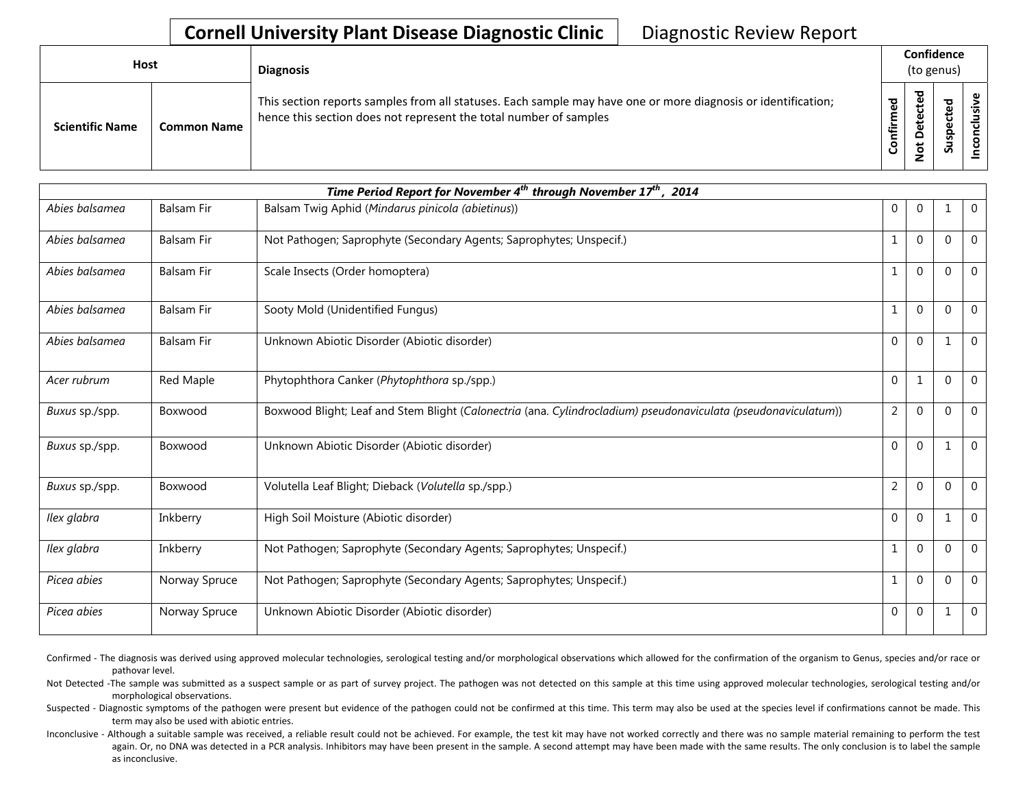## **Cornell University Plant Disease Diagnostic Clinic** | Diagnostic Review Report

| <b>Host</b> |                        |                    | <b>Diagnosis</b>                                                                                                                                                                   |                  | Confidence<br>(to genus)        |                       |   |
|-------------|------------------------|--------------------|------------------------------------------------------------------------------------------------------------------------------------------------------------------------------------|------------------|---------------------------------|-----------------------|---|
|             | <b>Scientific Name</b> | <b>Common Name</b> | This section reports samples from all statuses. Each sample may have one or more diagnosis or identification;<br>hence this section does not represent the total number of samples | ਠ<br>ε<br>onfiri | ठ<br>e<br>ں<br>ይ<br>۵<br>پ<br>؋ | <b>ba</b><br>9s<br>ທ່ | ω |

|                |                   | Time Period Report for November 4 <sup>th</sup> through November 17 <sup>th</sup> , 2014                       |                |              |              |                |
|----------------|-------------------|----------------------------------------------------------------------------------------------------------------|----------------|--------------|--------------|----------------|
| Abies balsamea | <b>Balsam Fir</b> | Balsam Twig Aphid (Mindarus pinicola (abietinus))                                                              | 0              | 0            |              | $\overline{0}$ |
| Abies balsamea | <b>Balsam Fir</b> | Not Pathogen; Saprophyte (Secondary Agents; Saprophytes; Unspecif.)                                            |                | $\Omega$     | $\Omega$     | $\Omega$       |
| Abies balsamea | <b>Balsam Fir</b> | Scale Insects (Order homoptera)                                                                                | 1              | $\Omega$     | 0            | $\Omega$       |
| Abies balsamea | <b>Balsam Fir</b> | Sooty Mold (Unidentified Fungus)                                                                               | 1              | $\Omega$     | $\Omega$     | $\Omega$       |
| Abies balsamea | <b>Balsam Fir</b> | Unknown Abiotic Disorder (Abiotic disorder)                                                                    | $\Omega$       | $\Omega$     | $\mathbf{1}$ | $\Omega$       |
| Acer rubrum    | Red Maple         | Phytophthora Canker (Phytophthora sp./spp.)                                                                    | $\mathbf 0$    | $\mathbf{1}$ | 0            | $\Omega$       |
| Buxus sp./spp. | Boxwood           | Boxwood Blight; Leaf and Stem Blight (Calonectria (ana. Cylindrocladium) pseudonaviculata (pseudonaviculatum)) | $\overline{c}$ | $\Omega$     | $\Omega$     | $\Omega$       |
| Buxus sp./spp. | Boxwood           | Unknown Abiotic Disorder (Abiotic disorder)                                                                    | $\Omega$       | $\Omega$     | -1           | $\Omega$       |
| Buxus sp./spp. | Boxwood           | Volutella Leaf Blight; Dieback (Volutella sp./spp.)                                                            | $\overline{2}$ | $\Omega$     | $\Omega$     | $\Omega$       |
| Ilex glabra    | Inkberry          | High Soil Moisture (Abiotic disorder)                                                                          | $\Omega$       | $\Omega$     | $\mathbf{1}$ | $\Omega$       |
| Ilex glabra    | Inkberry          | Not Pathogen; Saprophyte (Secondary Agents; Saprophytes; Unspecif.)                                            | $\mathbf{1}$   | $\Omega$     | $\Omega$     | $\Omega$       |
| Picea abies    | Norway Spruce     | Not Pathogen; Saprophyte (Secondary Agents; Saprophytes; Unspecif.)                                            | $\mathbf{1}$   | $\Omega$     | $\Omega$     | $\Omega$       |
| Picea abies    | Norway Spruce     | Unknown Abiotic Disorder (Abiotic disorder)                                                                    | $\Omega$       | $\Omega$     | 1            | $\Omega$       |

Confirmed - The diagnosis was derived using approved molecular technologies, serological testing and/or morphological observations which allowed for the confirmation of the organism to Genus, species and/or race or pathovar level.

Not Detected -The sample was submitted as a suspect sample or as part of survey project. The pathogen was not detected on this sample at this time using approved molecular technologies, serological testing and/or morphological observations.

Suspected - Diagnostic symptoms of the pathogen were present but evidence of the pathogen could not be confirmed at this time. This term may also be used at the species level if confirmations cannot be made. This term may also be used with abiotic entries.

Inconclusive - Although a suitable sample was received, a reliable result could not be achieved. For example, the test kit may have not worked correctly and there was no sample material remaining to perform the test again. Or, no DNA was detected in a PCR analysis. Inhibitors may have been present in the sample. A second attempt may have been made with the same results. The only conclusion is to label the sample as inconclusive.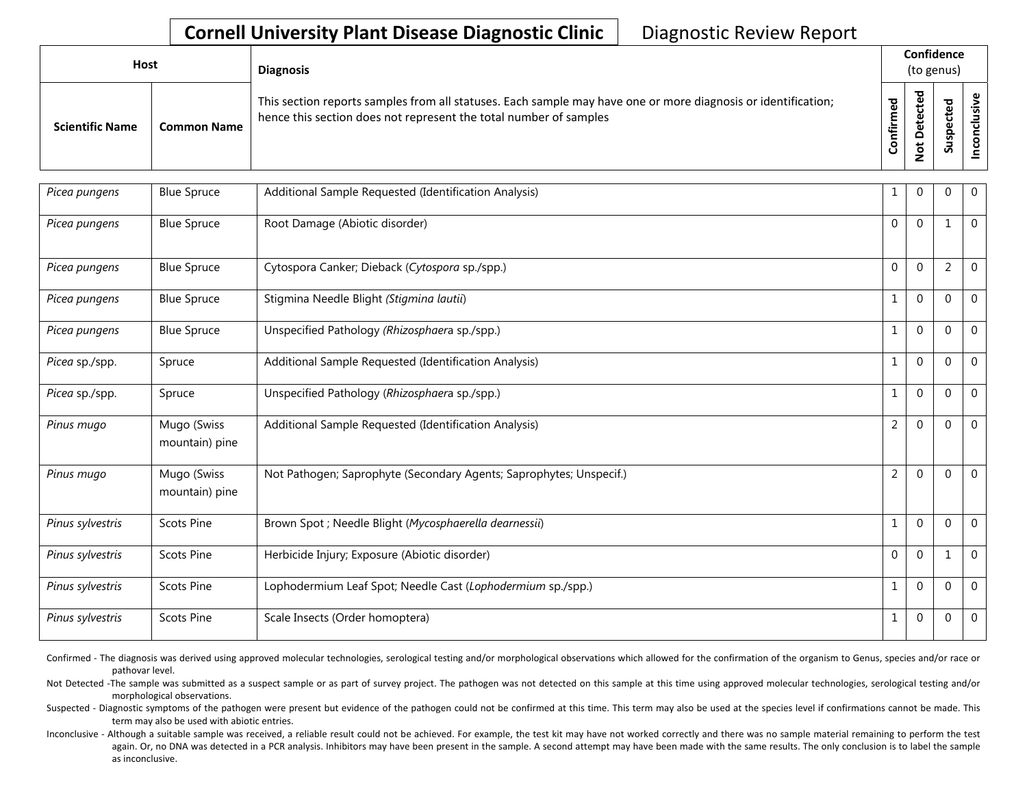## **Cornell University Plant Disease Diagnostic Clinic** | Diagnostic Review Report

| Host                   |                    | <b>Diagnosis</b>                                                                                                                                                                   |                             | Confidence<br>(to genus)         |                                  |  |
|------------------------|--------------------|------------------------------------------------------------------------------------------------------------------------------------------------------------------------------------|-----------------------------|----------------------------------|----------------------------------|--|
| <b>Scientific Name</b> | <b>Common Name</b> | This section reports samples from all statuses. Each sample may have one or more diagnosis or identification;<br>hence this section does not represent the total number of samples | ිලි<br>ල<br>Ē<br>onfil<br>ت | ಾ<br>B<br>൧<br>۵υ<br>۵<br>ى<br>؋ | ᅙ<br>Φ<br>ن<br>Φ<br>요<br>s<br>వే |  |

| Picea pungens    | <b>Blue Spruce</b>            | Additional Sample Requested (Identification Analysis)               | 1              | $\Omega$ | $\mathbf 0$ | $\mathbf 0$    |
|------------------|-------------------------------|---------------------------------------------------------------------|----------------|----------|-------------|----------------|
| Picea pungens    | <b>Blue Spruce</b>            | Root Damage (Abiotic disorder)                                      | 0              | $\Omega$ | 1           | $\mathbf 0$    |
| Picea pungens    | <b>Blue Spruce</b>            | Cytospora Canker; Dieback (Cytospora sp./spp.)                      | $\Omega$       | $\Omega$ | 2           | $\mathbf 0$    |
| Picea pungens    | <b>Blue Spruce</b>            | Stigmina Needle Blight (Stigmina lautii)                            | $\mathbf{1}$   | $\Omega$ | $\theta$    | $\Omega$       |
| Picea pungens    | <b>Blue Spruce</b>            | Unspecified Pathology (Rhizosphaera sp./spp.)                       | $\mathbf{1}$   | $\Omega$ | $\mathbf 0$ | $\mathbf 0$    |
| Picea sp./spp.   | Spruce                        | Additional Sample Requested (Identification Analysis)               |                | $\Omega$ | $\Omega$    | $\mathbf{0}$   |
| Picea sp./spp.   | Spruce                        | Unspecified Pathology (Rhizosphaera sp./spp.)                       | 1              | $\Omega$ | $\mathbf 0$ | $\mathbf{0}$   |
| Pinus mugo       | Mugo (Swiss<br>mountain) pine | Additional Sample Requested (Identification Analysis)               | $\overline{2}$ | $\Omega$ | $\mathbf 0$ | $\mathbf{0}$   |
| Pinus mugo       | Mugo (Swiss<br>mountain) pine | Not Pathogen; Saprophyte (Secondary Agents; Saprophytes; Unspecif.) | $\overline{2}$ | $\Omega$ | 0           | $\overline{0}$ |
| Pinus sylvestris | <b>Scots Pine</b>             | Brown Spot ; Needle Blight (Mycosphaerella dearnessii)              |                | $\Omega$ | $\theta$    | $\mathbf 0$    |
| Pinus sylvestris | <b>Scots Pine</b>             | Herbicide Injury; Exposure (Abiotic disorder)                       | $\mathbf 0$    | $\Omega$ |             | $\mathbf 0$    |
| Pinus sylvestris | <b>Scots Pine</b>             | Lophodermium Leaf Spot; Needle Cast (Lophodermium sp./spp.)         | $\mathbf{1}$   | $\Omega$ | $\Omega$    | $\mathbf{0}$   |
| Pinus sylvestris | <b>Scots Pine</b>             | Scale Insects (Order homoptera)                                     | $\mathbf 1$    | $\Omega$ | $\mathbf 0$ | $\mathbf{0}$   |

Confirmed - The diagnosis was derived using approved molecular technologies, serological testing and/or morphological observations which allowed for the confirmation of the organism to Genus, species and/or race or pathovar level.

Not Detected -The sample was submitted as a suspect sample or as part of survey project. The pathogen was not detected on this sample at this time using approved molecular technologies, serological testing and/or morphological observations.

Suspected - Diagnostic symptoms of the pathogen were present but evidence of the pathogen could not be confirmed at this time. This term may also be used at the species level if confirmations cannot be made. This term may also be used with abiotic entries.

Inconclusive - Although a suitable sample was received, a reliable result could not be achieved. For example, the test kit may have not worked correctly and there was no sample material remaining to perform the test again. Or, no DNA was detected in a PCR analysis. Inhibitors may have been present in the sample. A second attempt may have been made with the same results. The only conclusion is to label the sample as inconclusive.